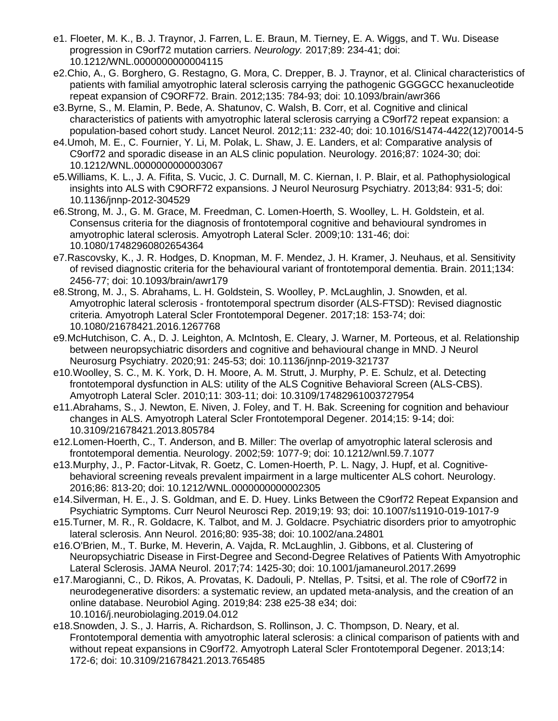- e1. Floeter, M. K., B. J. Traynor, J. Farren, L. E. Braun, M. Tierney, E. A. Wiggs, and T. Wu. Disease progression in C9orf72 mutation carriers. *Neurology.* 2017;89: 234-41; doi: 10.1212/WNL.0000000000004115
- e2.Chio, A., G. Borghero, G. Restagno, G. Mora, C. Drepper, B. J. Traynor, et al. Clinical characteristics of patients with familial amyotrophic lateral sclerosis carrying the pathogenic GGGGCC hexanucleotide repeat expansion of C9ORF72. Brain. 2012;135: 784-93; doi: 10.1093/brain/awr366
- e3.Byrne, S., M. Elamin, P. Bede, A. Shatunov, C. Walsh, B. Corr, et al. Cognitive and clinical characteristics of patients with amyotrophic lateral sclerosis carrying a C9orf72 repeat expansion: a population-based cohort study. Lancet Neurol. 2012;11: 232-40; doi: 10.1016/S1474-4422(12)70014-5
- e4.Umoh, M. E., C. Fournier, Y. Li, M. Polak, L. Shaw, J. E. Landers, et al: Comparative analysis of C9orf72 and sporadic disease in an ALS clinic population. Neurology. 2016;87: 1024-30; doi: 10.1212/WNL.0000000000003067
- e5.Williams, K. L., J. A. Fifita, S. Vucic, J. C. Durnall, M. C. Kiernan, I. P. Blair, et al. Pathophysiological insights into ALS with C9ORF72 expansions. J Neurol Neurosurg Psychiatry. 2013;84: 931-5; doi: 10.1136/jnnp-2012-304529
- e6.Strong, M. J., G. M. Grace, M. Freedman, C. Lomen-Hoerth, S. Woolley, L. H. Goldstein, et al. Consensus criteria for the diagnosis of frontotemporal cognitive and behavioural syndromes in amyotrophic lateral sclerosis. Amyotroph Lateral Scler. 2009;10: 131-46; doi: 10.1080/17482960802654364
- e7.Rascovsky, K., J. R. Hodges, D. Knopman, M. F. Mendez, J. H. Kramer, J. Neuhaus, et al. Sensitivity of revised diagnostic criteria for the behavioural variant of frontotemporal dementia. Brain. 2011;134: 2456-77; doi: 10.1093/brain/awr179
- e8.Strong, M. J., S. Abrahams, L. H. Goldstein, S. Woolley, P. McLaughlin, J. Snowden, et al. Amyotrophic lateral sclerosis - frontotemporal spectrum disorder (ALS-FTSD): Revised diagnostic criteria. Amyotroph Lateral Scler Frontotemporal Degener. 2017;18: 153-74; doi: 10.1080/21678421.2016.1267768
- e9.McHutchison, C. A., D. J. Leighton, A. McIntosh, E. Cleary, J. Warner, M. Porteous, et al. Relationship between neuropsychiatric disorders and cognitive and behavioural change in MND. J Neurol Neurosurg Psychiatry. 2020;91: 245-53; doi: 10.1136/jnnp-2019-321737
- e10.Woolley, S. C., M. K. York, D. H. Moore, A. M. Strutt, J. Murphy, P. E. Schulz, et al. Detecting frontotemporal dysfunction in ALS: utility of the ALS Cognitive Behavioral Screen (ALS-CBS). Amyotroph Lateral Scler. 2010;11: 303-11; doi: 10.3109/17482961003727954
- e11.Abrahams, S., J. Newton, E. Niven, J. Foley, and T. H. Bak. Screening for cognition and behaviour changes in ALS. Amyotroph Lateral Scler Frontotemporal Degener. 2014;15: 9-14; doi: 10.3109/21678421.2013.805784
- e12.Lomen-Hoerth, C., T. Anderson, and B. Miller: The overlap of amyotrophic lateral sclerosis and frontotemporal dementia. Neurology. 2002;59: 1077-9; doi: 10.1212/wnl.59.7.1077
- e13.Murphy, J., P. Factor-Litvak, R. Goetz, C. Lomen-Hoerth, P. L. Nagy, J. Hupf, et al. Cognitivebehavioral screening reveals prevalent impairment in a large multicenter ALS cohort. Neurology. 2016;86: 813-20; doi: 10.1212/WNL.0000000000002305
- e14.Silverman, H. E., J. S. Goldman, and E. D. Huey. Links Between the C9orf72 Repeat Expansion and Psychiatric Symptoms. Curr Neurol Neurosci Rep. 2019;19: 93; doi: 10.1007/s11910-019-1017-9
- e15.Turner, M. R., R. Goldacre, K. Talbot, and M. J. Goldacre. Psychiatric disorders prior to amyotrophic lateral sclerosis. Ann Neurol. 2016;80: 935-38; doi: 10.1002/ana.24801
- e16.O'Brien, M., T. Burke, M. Heverin, A. Vajda, R. McLaughlin, J. Gibbons, et al. Clustering of Neuropsychiatric Disease in First-Degree and Second-Degree Relatives of Patients With Amyotrophic Lateral Sclerosis. JAMA Neurol. 2017;74: 1425-30; doi: 10.1001/jamaneurol.2017.2699
- e17.Marogianni, C., D. Rikos, A. Provatas, K. Dadouli, P. Ntellas, P. Tsitsi, et al. The role of C9orf72 in neurodegenerative disorders: a systematic review, an updated meta-analysis, and the creation of an online database. Neurobiol Aging. 2019;84: 238 e25-38 e34; doi: 10.1016/j.neurobiolaging.2019.04.012
- e18.Snowden, J. S., J. Harris, A. Richardson, S. Rollinson, J. C. Thompson, D. Neary, et al. Frontotemporal dementia with amyotrophic lateral sclerosis: a clinical comparison of patients with and without repeat expansions in C9orf72. Amyotroph Lateral Scler Frontotemporal Degener. 2013;14: 172-6; doi: 10.3109/21678421.2013.765485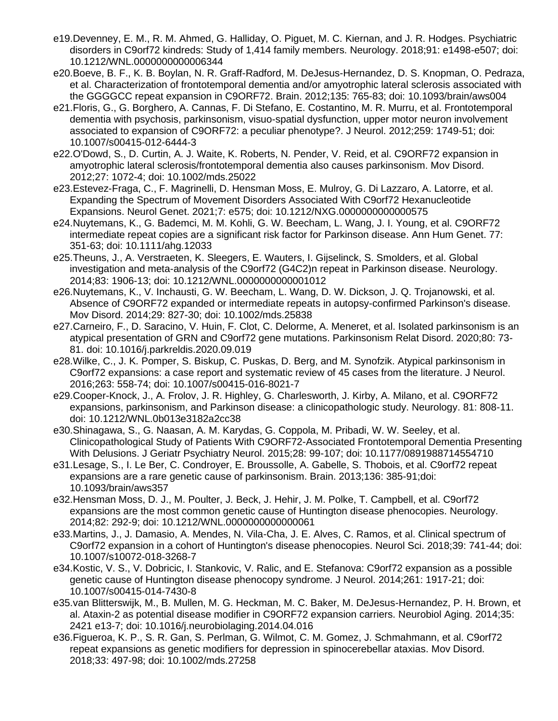- e19.Devenney, E. M., R. M. Ahmed, G. Halliday, O. Piguet, M. C. Kiernan, and J. R. Hodges. Psychiatric disorders in C9orf72 kindreds: Study of 1,414 family members. Neurology. 2018;91: e1498-e507; doi: 10.1212/WNL.0000000000006344
- e20.Boeve, B. F., K. B. Boylan, N. R. Graff-Radford, M. DeJesus-Hernandez, D. S. Knopman, O. Pedraza, et al. Characterization of frontotemporal dementia and/or amyotrophic lateral sclerosis associated with the GGGGCC repeat expansion in C9ORF72. Brain. 2012;135: 765-83; doi: 10.1093/brain/aws004
- e21.Floris, G., G. Borghero, A. Cannas, F. Di Stefano, E. Costantino, M. R. Murru, et al. Frontotemporal dementia with psychosis, parkinsonism, visuo-spatial dysfunction, upper motor neuron involvement associated to expansion of C9ORF72: a peculiar phenotype?. J Neurol. 2012;259: 1749-51; doi: 10.1007/s00415-012-6444-3
- e22.O'Dowd, S., D. Curtin, A. J. Waite, K. Roberts, N. Pender, V. Reid, et al. C9ORF72 expansion in amyotrophic lateral sclerosis/frontotemporal dementia also causes parkinsonism. Mov Disord. 2012;27: 1072-4; doi: 10.1002/mds.25022
- e23.Estevez-Fraga, C., F. Magrinelli, D. Hensman Moss, E. Mulroy, G. Di Lazzaro, A. Latorre, et al. Expanding the Spectrum of Movement Disorders Associated With C9orf72 Hexanucleotide Expansions. Neurol Genet. 2021;7: e575; doi: 10.1212/NXG.0000000000000575
- e24.Nuytemans, K., G. Bademci, M. M. Kohli, G. W. Beecham, L. Wang, J. I. Young, et al. C9ORF72 intermediate repeat copies are a significant risk factor for Parkinson disease. Ann Hum Genet. 77: 351-63; doi: 10.1111/ahg.12033
- e25.Theuns, J., A. Verstraeten, K. Sleegers, E. Wauters, I. Gijselinck, S. Smolders, et al. Global investigation and meta-analysis of the C9orf72 (G4C2)n repeat in Parkinson disease. Neurology. 2014;83: 1906-13; doi: 10.1212/WNL.0000000000001012
- e26.Nuytemans, K., V. Inchausti, G. W. Beecham, L. Wang, D. W. Dickson, J. Q. Trojanowski, et al. Absence of C9ORF72 expanded or intermediate repeats in autopsy-confirmed Parkinson's disease. Mov Disord. 2014;29: 827-30; doi: 10.1002/mds.25838
- e27.Carneiro, F., D. Saracino, V. Huin, F. Clot, C. Delorme, A. Meneret, et al. Isolated parkinsonism is an atypical presentation of GRN and C9orf72 gene mutations. Parkinsonism Relat Disord. 2020;80: 73- 81. doi: 10.1016/j.parkreldis.2020.09.019
- e28.Wilke, C., J. K. Pomper, S. Biskup, C. Puskas, D. Berg, and M. Synofzik. Atypical parkinsonism in C9orf72 expansions: a case report and systematic review of 45 cases from the literature. J Neurol. 2016;263: 558-74; doi: 10.1007/s00415-016-8021-7
- e29.Cooper-Knock, J., A. Frolov, J. R. Highley, G. Charlesworth, J. Kirby, A. Milano, et al. C9ORF72 expansions, parkinsonism, and Parkinson disease: a clinicopathologic study. Neurology. 81: 808-11. doi: 10.1212/WNL.0b013e3182a2cc38
- e30.Shinagawa, S., G. Naasan, A. M. Karydas, G. Coppola, M. Pribadi, W. W. Seeley, et al. Clinicopathological Study of Patients With C9ORF72-Associated Frontotemporal Dementia Presenting With Delusions. J Geriatr Psychiatry Neurol. 2015;28: 99-107; doi: 10.1177/0891988714554710
- e31.Lesage, S., I. Le Ber, C. Condroyer, E. Broussolle, A. Gabelle, S. Thobois, et al. C9orf72 repeat expansions are a rare genetic cause of parkinsonism. Brain. 2013;136: 385-91;doi: 10.1093/brain/aws357
- e32.Hensman Moss, D. J., M. Poulter, J. Beck, J. Hehir, J. M. Polke, T. Campbell, et al. C9orf72 expansions are the most common genetic cause of Huntington disease phenocopies. Neurology. 2014;82: 292-9; doi: 10.1212/WNL.0000000000000061
- e33.Martins, J., J. Damasio, A. Mendes, N. Vila-Cha, J. E. Alves, C. Ramos, et al. Clinical spectrum of C9orf72 expansion in a cohort of Huntington's disease phenocopies. Neurol Sci. 2018;39: 741-44; doi: 10.1007/s10072-018-3268-7
- e34.Kostic, V. S., V. Dobricic, I. Stankovic, V. Ralic, and E. Stefanova: C9orf72 expansion as a possible genetic cause of Huntington disease phenocopy syndrome. J Neurol. 2014;261: 1917-21; doi: 10.1007/s00415-014-7430-8
- e35.van Blitterswijk, M., B. Mullen, M. G. Heckman, M. C. Baker, M. DeJesus-Hernandez, P. H. Brown, et al. Ataxin-2 as potential disease modifier in C9ORF72 expansion carriers. Neurobiol Aging. 2014;35: 2421 e13-7; doi: 10.1016/j.neurobiolaging.2014.04.016
- e36.Figueroa, K. P., S. R. Gan, S. Perlman, G. Wilmot, C. M. Gomez, J. Schmahmann, et al. C9orf72 repeat expansions as genetic modifiers for depression in spinocerebellar ataxias. Mov Disord. 2018;33: 497-98; doi: 10.1002/mds.27258